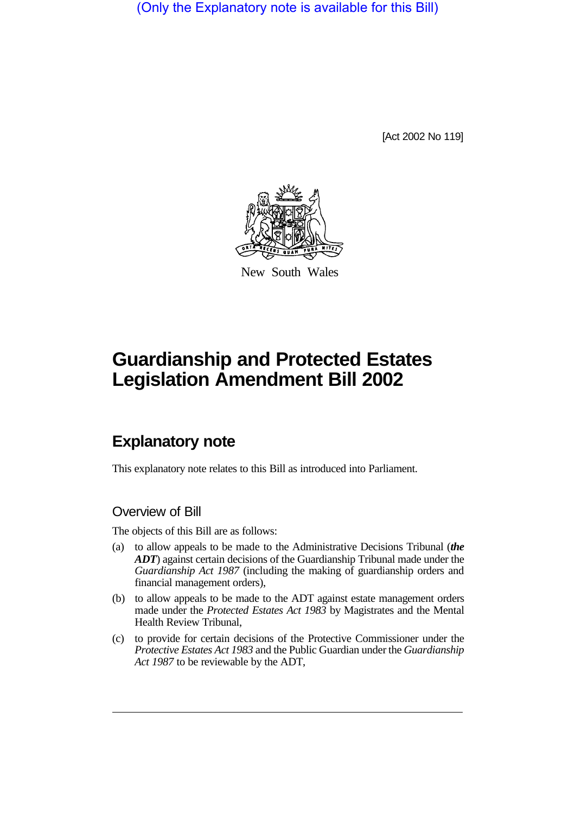(Only the Explanatory note is available for this Bill)

[Act 2002 No 119]



New South Wales

# **Guardianship and Protected Estates Legislation Amendment Bill 2002**

## **Explanatory note**

This explanatory note relates to this Bill as introduced into Parliament.

#### Overview of Bill

The objects of this Bill are as follows:

- (a) to allow appeals to be made to the Administrative Decisions Tribunal (*the ADT*) against certain decisions of the Guardianship Tribunal made under the *Guardianship Act 1987* (including the making of guardianship orders and financial management orders),
- (b) to allow appeals to be made to the ADT against estate management orders made under the *Protected Estates Act 1983* by Magistrates and the Mental Health Review Tribunal,
- (c) to provide for certain decisions of the Protective Commissioner under the *Protective Estates Act 1983* and the Public Guardian under the *Guardianship Act 1987* to be reviewable by the ADT,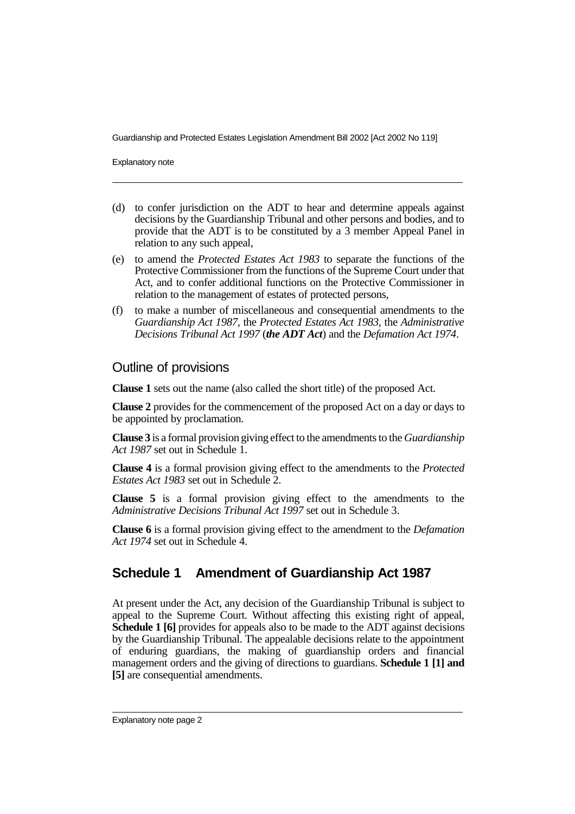Explanatory note

- (d) to confer jurisdiction on the ADT to hear and determine appeals against decisions by the Guardianship Tribunal and other persons and bodies, and to provide that the ADT is to be constituted by a 3 member Appeal Panel in relation to any such appeal,
- (e) to amend the *Protected Estates Act 1983* to separate the functions of the Protective Commissioner from the functions of the Supreme Court under that Act, and to confer additional functions on the Protective Commissioner in relation to the management of estates of protected persons,
- (f) to make a number of miscellaneous and consequential amendments to the *Guardianship Act 1987*, the *Protected Estates Act 1983*, the *Administrative Decisions Tribunal Act 1997* (*the ADT Act*) and the *Defamation Act 1974*.

#### Outline of provisions

**Clause 1** sets out the name (also called the short title) of the proposed Act.

**Clause 2** provides for the commencement of the proposed Act on a day or days to be appointed by proclamation.

**Clause 3** is a formal provision giving effect to the amendments to the *Guardianship Act 1987* set out in Schedule 1.

**Clause 4** is a formal provision giving effect to the amendments to the *Protected Estates Act 1983* set out in Schedule 2.

**Clause 5** is a formal provision giving effect to the amendments to the *Administrative Decisions Tribunal Act 1997* set out in Schedule 3.

**Clause 6** is a formal provision giving effect to the amendment to the *Defamation Act 1974* set out in Schedule 4.

## **Schedule 1 Amendment of Guardianship Act 1987**

At present under the Act, any decision of the Guardianship Tribunal is subject to appeal to the Supreme Court. Without affecting this existing right of appeal, **Schedule 1 [6]** provides for appeals also to be made to the ADT against decisions by the Guardianship Tribunal. The appealable decisions relate to the appointment of enduring guardians, the making of guardianship orders and financial management orders and the giving of directions to guardians. **Schedule 1 [1] and [5]** are consequential amendments.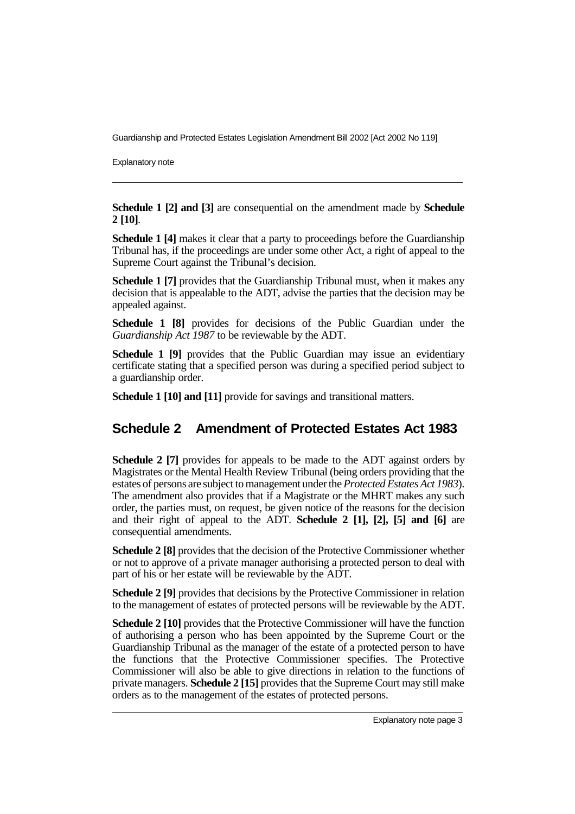Explanatory note

**Schedule 1 [2] and [3]** are consequential on the amendment made by **Schedule 2 [10]**.

**Schedule 1 [4]** makes it clear that a party to proceedings before the Guardianship Tribunal has, if the proceedings are under some other Act, a right of appeal to the Supreme Court against the Tribunal's decision.

**Schedule 1 [7]** provides that the Guardianship Tribunal must, when it makes any decision that is appealable to the ADT, advise the parties that the decision may be appealed against.

**Schedule 1 [8]** provides for decisions of the Public Guardian under the *Guardianship Act 1987* to be reviewable by the ADT.

**Schedule 1 [9]** provides that the Public Guardian may issue an evidentiary certificate stating that a specified person was during a specified period subject to a guardianship order.

**Schedule 1 [10] and [11]** provide for savings and transitional matters.

### **Schedule 2 Amendment of Protected Estates Act 1983**

**Schedule 2 [7]** provides for appeals to be made to the ADT against orders by Magistrates or the Mental Health Review Tribunal (being orders providing that the estates of persons are subject to management under the*Protected Estates Act 1983*). The amendment also provides that if a Magistrate or the MHRT makes any such order, the parties must, on request, be given notice of the reasons for the decision and their right of appeal to the ADT. **Schedule 2 [1], [2], [5] and [6]** are consequential amendments.

**Schedule 2 [8]** provides that the decision of the Protective Commissioner whether or not to approve of a private manager authorising a protected person to deal with part of his or her estate will be reviewable by the ADT.

**Schedule 2 [9]** provides that decisions by the Protective Commissioner in relation to the management of estates of protected persons will be reviewable by the ADT.

**Schedule 2 [10]** provides that the Protective Commissioner will have the function of authorising a person who has been appointed by the Supreme Court or the Guardianship Tribunal as the manager of the estate of a protected person to have the functions that the Protective Commissioner specifies. The Protective Commissioner will also be able to give directions in relation to the functions of private managers. **Schedule 2 [15]** provides that the Supreme Court may still make orders as to the management of the estates of protected persons.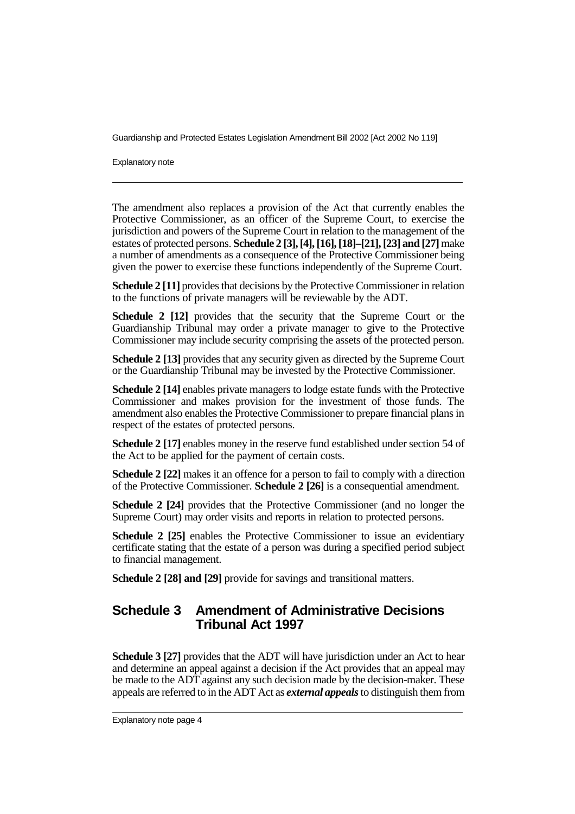Explanatory note

The amendment also replaces a provision of the Act that currently enables the Protective Commissioner, as an officer of the Supreme Court, to exercise the jurisdiction and powers of the Supreme Court in relation to the management of the estates of protected persons. **Schedule 2 [3], [4], [16], [18]–[21], [23] and [27]**make a number of amendments as a consequence of the Protective Commissioner being given the power to exercise these functions independently of the Supreme Court.

**Schedule 2 [11]** provides that decisions by the Protective Commissioner in relation to the functions of private managers will be reviewable by the ADT.

**Schedule 2 [12]** provides that the security that the Supreme Court or the Guardianship Tribunal may order a private manager to give to the Protective Commissioner may include security comprising the assets of the protected person.

**Schedule 2 [13]** provides that any security given as directed by the Supreme Court or the Guardianship Tribunal may be invested by the Protective Commissioner.

**Schedule 2 [14]** enables private managers to lodge estate funds with the Protective Commissioner and makes provision for the investment of those funds. The amendment also enables the Protective Commissioner to prepare financial plans in respect of the estates of protected persons.

**Schedule 2 [17]** enables money in the reserve fund established under section 54 of the Act to be applied for the payment of certain costs.

**Schedule 2 [22]** makes it an offence for a person to fail to comply with a direction of the Protective Commissioner. **Schedule 2 [26]** is a consequential amendment.

**Schedule 2 [24]** provides that the Protective Commissioner (and no longer the Supreme Court) may order visits and reports in relation to protected persons.

**Schedule 2 [25]** enables the Protective Commissioner to issue an evidentiary certificate stating that the estate of a person was during a specified period subject to financial management.

**Schedule 2 [28] and [29]** provide for savings and transitional matters.

#### **Schedule 3 Amendment of Administrative Decisions Tribunal Act 1997**

**Schedule 3 [27]** provides that the ADT will have jurisdiction under an Act to hear and determine an appeal against a decision if the Act provides that an appeal may be made to the ADT against any such decision made by the decision-maker. These appeals are referred to in the ADT Act as *external appeals*to distinguish them from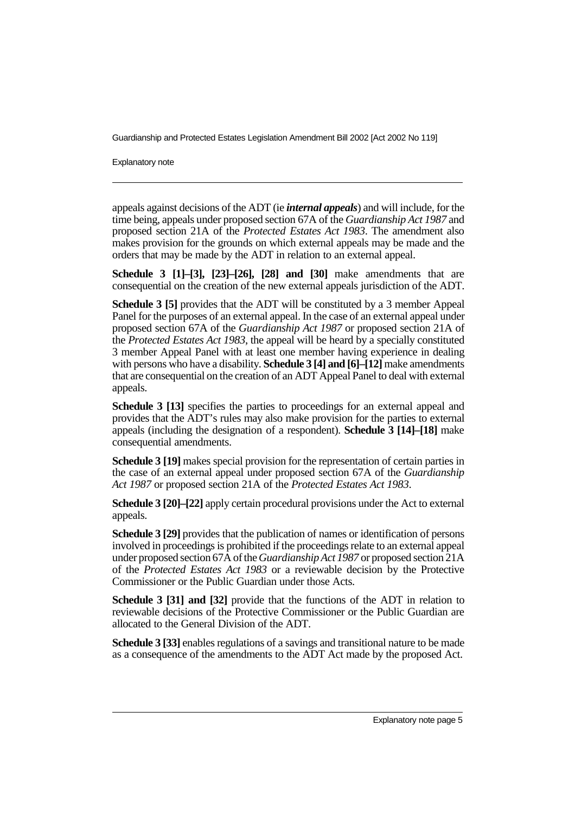Explanatory note

appeals against decisions of the ADT (ie *internal appeals*) and will include, for the time being, appeals under proposed section 67A of the *Guardianship Act 1987* and proposed section 21A of the *Protected Estates Act 1983*. The amendment also makes provision for the grounds on which external appeals may be made and the orders that may be made by the ADT in relation to an external appeal.

**Schedule 3 [1]–[3], [23]–[26], [28] and [30]** make amendments that are consequential on the creation of the new external appeals jurisdiction of the ADT.

**Schedule 3 [5]** provides that the ADT will be constituted by a 3 member Appeal Panel for the purposes of an external appeal. In the case of an external appeal under proposed section 67A of the *Guardianship Act 1987* or proposed section 21A of the *Protected Estates Act 1983*, the appeal will be heard by a specially constituted 3 member Appeal Panel with at least one member having experience in dealing with persons who have a disability. **Schedule 3 [4] and [6]–[12]** make amendments that are consequential on the creation of an ADT Appeal Panel to deal with external appeals.

**Schedule 3 [13]** specifies the parties to proceedings for an external appeal and provides that the ADT's rules may also make provision for the parties to external appeals (including the designation of a respondent). **Schedule 3 [14]–[18]** make consequential amendments.

**Schedule 3 [19]** makes special provision for the representation of certain parties in the case of an external appeal under proposed section 67A of the *Guardianship Act 1987* or proposed section 21A of the *Protected Estates Act 1983*.

**Schedule 3 [20]–[22]** apply certain procedural provisions under the Act to external appeals.

**Schedule 3 [29]** provides that the publication of names or identification of persons involved in proceedings is prohibited if the proceedings relate to an external appeal under proposed section 67A of the*Guardianship Act 1987* or proposed section 21A of the *Protected Estates Act 1983* or a reviewable decision by the Protective Commissioner or the Public Guardian under those Acts.

**Schedule 3 [31] and [32]** provide that the functions of the ADT in relation to reviewable decisions of the Protective Commissioner or the Public Guardian are allocated to the General Division of the ADT.

**Schedule 3 [33]** enables regulations of a savings and transitional nature to be made as a consequence of the amendments to the ADT Act made by the proposed Act.